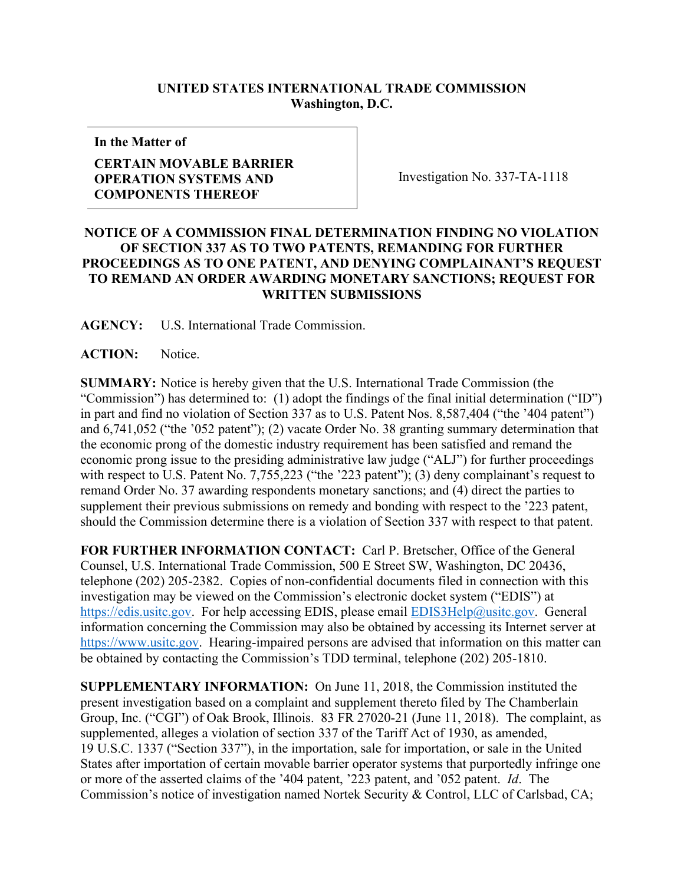## **UNITED STATES INTERNATIONAL TRADE COMMISSION Washington, D.C.**

**In the Matter of**

## **CERTAIN MOVABLE BARRIER OPERATION SYSTEMS AND COMPONENTS THEREOF**

Investigation No. 337-TA-1118

## **NOTICE OF A COMMISSION FINAL DETERMINATION FINDING NO VIOLATION OF SECTION 337 AS TO TWO PATENTS, REMANDING FOR FURTHER PROCEEDINGS AS TO ONE PATENT, AND DENYING COMPLAINANT'S REQUEST TO REMAND AN ORDER AWARDING MONETARY SANCTIONS; REQUEST FOR WRITTEN SUBMISSIONS**

**AGENCY:** U.S. International Trade Commission.

**ACTION:** Notice.

**SUMMARY:** Notice is hereby given that the U.S. International Trade Commission (the "Commission") has determined to: (1) adopt the findings of the final initial determination ("ID") in part and find no violation of Section 337 as to U.S. Patent Nos. 8,587,404 ("the '404 patent") and 6,741,052 ("the '052 patent"); (2) vacate Order No. 38 granting summary determination that the economic prong of the domestic industry requirement has been satisfied and remand the economic prong issue to the presiding administrative law judge ("ALJ") for further proceedings with respect to U.S. Patent No. 7,755,223 ("the '223 patent"); (3) deny complainant's request to remand Order No. 37 awarding respondents monetary sanctions; and (4) direct the parties to supplement their previous submissions on remedy and bonding with respect to the '223 patent, should the Commission determine there is a violation of Section 337 with respect to that patent.

**FOR FURTHER INFORMATION CONTACT:** Carl P. Bretscher, Office of the General Counsel, U.S. International Trade Commission, 500 E Street SW, Washington, DC 20436, telephone (202) 205-2382. Copies of non-confidential documents filed in connection with this investigation may be viewed on the Commission's electronic docket system ("EDIS") at [https://edis.usitc.gov](https://edis.usitc.gov/). For help accessing EDIS, please email [EDIS3Help@usitc.gov](mailto:EDIS3Help@usitc.gov). General information concerning the Commission may also be obtained by accessing its Internet server at [https://www.usitc.gov](https://www.usitc.gov/). Hearing-impaired persons are advised that information on this matter can be obtained by contacting the Commission's TDD terminal, telephone (202) 205-1810.

**SUPPLEMENTARY INFORMATION:** On June 11, 2018, the Commission instituted the present investigation based on a complaint and supplement thereto filed by The Chamberlain Group, Inc. ("CGI") of Oak Brook, Illinois. 83 FR 27020-21 (June 11, 2018). The complaint, as supplemented, alleges a violation of section 337 of the Tariff Act of 1930, as amended, 19 U.S.C. 1337 ("Section 337"), in the importation, sale for importation, or sale in the United States after importation of certain movable barrier operator systems that purportedly infringe one or more of the asserted claims of the '404 patent, '223 patent, and '052 patent. *Id*. The Commission's notice of investigation named Nortek Security & Control, LLC of Carlsbad, CA;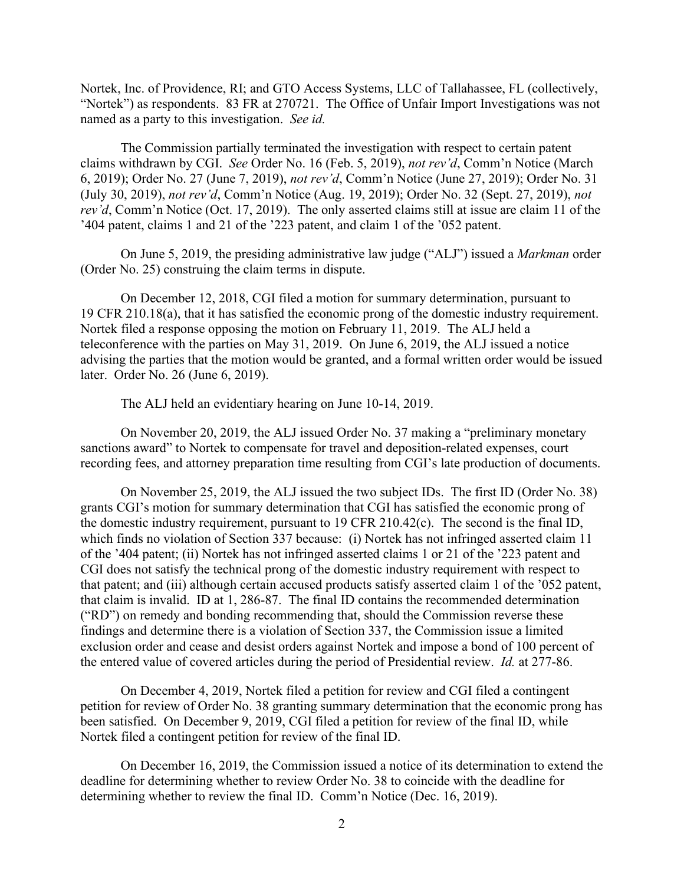Nortek, Inc. of Providence, RI; and GTO Access Systems, LLC of Tallahassee, FL (collectively, "Nortek") as respondents. 83 FR at 270721. The Office of Unfair Import Investigations was not named as a party to this investigation. *See id.*

The Commission partially terminated the investigation with respect to certain patent claims withdrawn by CGI. *See* Order No. 16 (Feb. 5, 2019), *not rev'd*, Comm'n Notice (March 6, 2019); Order No. 27 (June 7, 2019), *not rev'd*, Comm'n Notice (June 27, 2019); Order No. 31 (July 30, 2019), *not rev'd*, Comm'n Notice (Aug. 19, 2019); Order No. 32 (Sept. 27, 2019), *not rev'd*, Comm'n Notice (Oct. 17, 2019). The only asserted claims still at issue are claim 11 of the '404 patent, claims 1 and 21 of the '223 patent, and claim 1 of the '052 patent.

On June 5, 2019, the presiding administrative law judge ("ALJ") issued a *Markman* order (Order No. 25) construing the claim terms in dispute.

On December 12, 2018, CGI filed a motion for summary determination, pursuant to 19 CFR 210.18(a), that it has satisfied the economic prong of the domestic industry requirement. Nortek filed a response opposing the motion on February 11, 2019. The ALJ held a teleconference with the parties on May 31, 2019. On June 6, 2019, the ALJ issued a notice advising the parties that the motion would be granted, and a formal written order would be issued later. Order No. 26 (June 6, 2019).

The ALJ held an evidentiary hearing on June 10-14, 2019.

On November 20, 2019, the ALJ issued Order No. 37 making a "preliminary monetary sanctions award" to Nortek to compensate for travel and deposition-related expenses, court recording fees, and attorney preparation time resulting from CGI's late production of documents.

On November 25, 2019, the ALJ issued the two subject IDs. The first ID (Order No. 38) grants CGI's motion for summary determination that CGI has satisfied the economic prong of the domestic industry requirement, pursuant to 19 CFR 210.42(c). The second is the final ID, which finds no violation of Section 337 because: (i) Nortek has not infringed asserted claim 11 of the '404 patent; (ii) Nortek has not infringed asserted claims 1 or 21 of the '223 patent and CGI does not satisfy the technical prong of the domestic industry requirement with respect to that patent; and (iii) although certain accused products satisfy asserted claim 1 of the '052 patent, that claim is invalid. ID at 1, 286-87. The final ID contains the recommended determination ("RD") on remedy and bonding recommending that, should the Commission reverse these findings and determine there is a violation of Section 337, the Commission issue a limited exclusion order and cease and desist orders against Nortek and impose a bond of 100 percent of the entered value of covered articles during the period of Presidential review. *Id.* at 277-86.

On December 4, 2019, Nortek filed a petition for review and CGI filed a contingent petition for review of Order No. 38 granting summary determination that the economic prong has been satisfied. On December 9, 2019, CGI filed a petition for review of the final ID, while Nortek filed a contingent petition for review of the final ID.

On December 16, 2019, the Commission issued a notice of its determination to extend the deadline for determining whether to review Order No. 38 to coincide with the deadline for determining whether to review the final ID. Comm'n Notice (Dec. 16, 2019).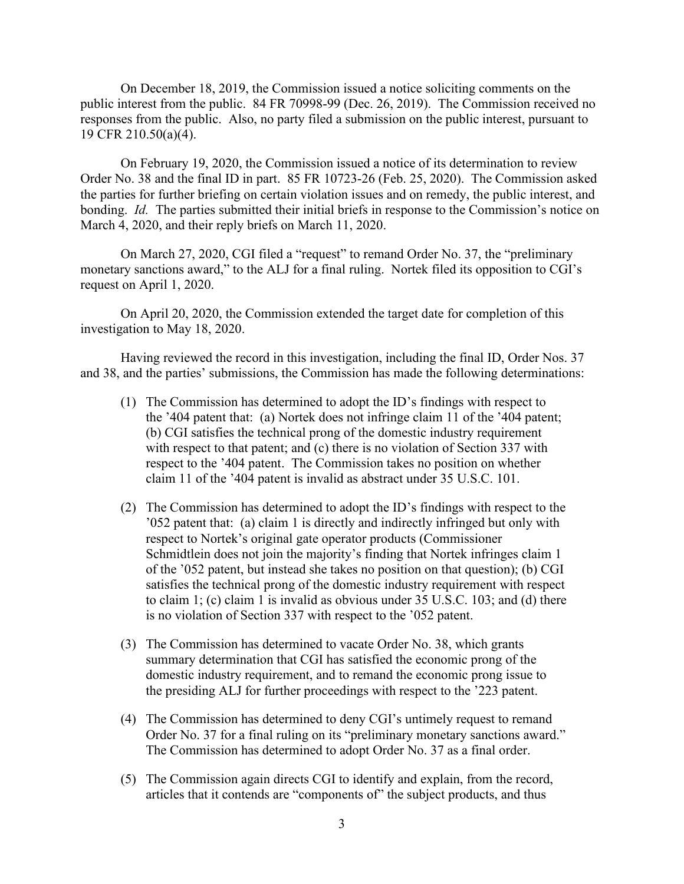On December 18, 2019, the Commission issued a notice soliciting comments on the public interest from the public. 84 FR 70998-99 (Dec. 26, 2019). The Commission received no responses from the public. Also, no party filed a submission on the public interest, pursuant to 19 CFR 210.50(a)(4).

On February 19, 2020, the Commission issued a notice of its determination to review Order No. 38 and the final ID in part. 85 FR 10723-26 (Feb. 25, 2020). The Commission asked the parties for further briefing on certain violation issues and on remedy, the public interest, and bonding. *Id.* The parties submitted their initial briefs in response to the Commission's notice on March 4, 2020, and their reply briefs on March 11, 2020.

On March 27, 2020, CGI filed a "request" to remand Order No. 37, the "preliminary monetary sanctions award," to the ALJ for a final ruling. Nortek filed its opposition to CGI's request on April 1, 2020.

On April 20, 2020, the Commission extended the target date for completion of this investigation to May 18, 2020.

Having reviewed the record in this investigation, including the final ID, Order Nos. 37 and 38, and the parties' submissions, the Commission has made the following determinations:

- (1) The Commission has determined to adopt the ID's findings with respect to the '404 patent that: (a) Nortek does not infringe claim 11 of the '404 patent; (b) CGI satisfies the technical prong of the domestic industry requirement with respect to that patent; and (c) there is no violation of Section 337 with respect to the '404 patent. The Commission takes no position on whether claim 11 of the '404 patent is invalid as abstract under 35 U.S.C. 101.
- (2) The Commission has determined to adopt the ID's findings with respect to the '052 patent that: (a) claim 1 is directly and indirectly infringed but only with respect to Nortek's original gate operator products (Commissioner Schmidtlein does not join the majority's finding that Nortek infringes claim 1 of the '052 patent, but instead she takes no position on that question); (b) CGI satisfies the technical prong of the domestic industry requirement with respect to claim 1; (c) claim 1 is invalid as obvious under 35 U.S.C. 103; and (d) there is no violation of Section 337 with respect to the '052 patent.
- (3) The Commission has determined to vacate Order No. 38, which grants summary determination that CGI has satisfied the economic prong of the domestic industry requirement, and to remand the economic prong issue to the presiding ALJ for further proceedings with respect to the '223 patent.
- (4) The Commission has determined to deny CGI's untimely request to remand Order No. 37 for a final ruling on its "preliminary monetary sanctions award." The Commission has determined to adopt Order No. 37 as a final order.
- (5) The Commission again directs CGI to identify and explain, from the record, articles that it contends are "components of" the subject products, and thus